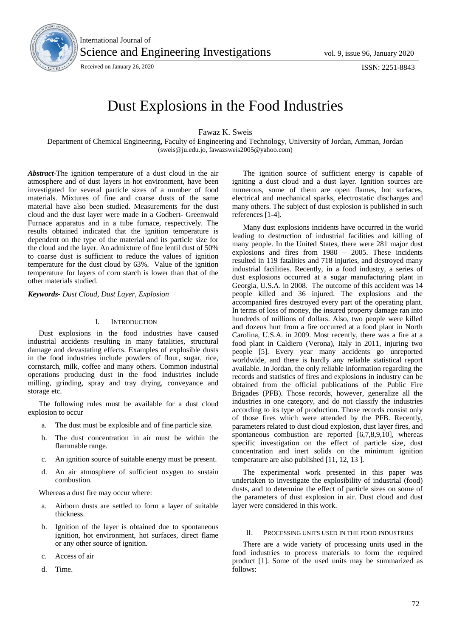

International Journal of Science and Engineering Investigations vol. 9, issue 96, January 2020

Received on January 26, 2020 **ISSN: 2251-8843** 

# Dust Explosions in the Food Industries

Fawaz K. Sweis

Department of Chemical Engineering, Faculty of Engineering and Technology, University of Jordan, Amman, Jordan (sweis@ju.edu.jo, fawazsweis2005@yahoo.com)

*Abstract*-The ignition temperature of a dust cloud in the air atmosphere and of dust layers in hot environment, have been investigated for several particle sizes of a number of food materials. Mixtures of fine and coarse dusts of the same material have also been studied. Measurements for the dust cloud and the dust layer were made in a Godbert- Greenwald Furnace apparatus and in a tube furnace, respectively. The results obtained indicated that the ignition temperature is dependent on the type of the material and its particle size for the cloud and the layer. An admixture of fine lentil dust of 50% to coarse dust is sufficient to reduce the values of ignition temperature for the dust cloud by 63%. Value of the ignition temperature for layers of corn starch is lower than that of the other materials studied.

*Keywords- Dust Cloud, Dust Layer, Explosion*

# I. INTRODUCTION

Dust explosions in the food industries have caused industrial accidents resulting in many fatalities, structural damage and devastating effects. Examples of explosible dusts in the food industries include powders of flour, sugar, rice, cornstarch, milk, coffee and many others. Common industrial operations producing dust in the food industries include milling, grinding, spray and tray drying, conveyance and storage etc.

The following rules must be available for a dust cloud explosion to occur

- a. The dust must be explosible and of fine particle size.
- b. The dust concentration in air must be within the flammable range.
- c. An ignition source of suitable energy must be present.
- d. An air atmosphere of sufficient oxygen to sustain combustion.

Whereas a dust fire may occur where:

- a. Airborn dusts are settled to form a layer of suitable thickness.
- b. Ignition of the layer is obtained due to spontaneous ignition, hot environment, hot surfaces, direct flame or any other source of ignition.
- c. Access of air
- d. Time.

The ignition source of sufficient energy is capable of igniting a dust cloud and a dust layer. Ignition sources are numerous, some of them are open flames, hot surfaces, electrical and mechanical sparks, electrostatic discharges and many others. The subject of dust explosion is published in such references [1-4].

Many dust explosions incidents have occurred in the world leading to destruction of industrial facilities and killing of many people. In the United States, there were 281 major dust explosions and fires from 1980 – 2005. These incidents resulted in 119 fatalities and 718 injuries, and destroyed many industrial facilities. Recently, in a food industry, a series of dust explosions occurred at a sugar manufacturing plant in Georgia, U.S.A. in 2008. The outcome of this accident was 14 people killed and 36 injured. The explosions and the accompanied fires destroyed every part of the operating plant. In terms of loss of money, the insured property damage ran into hundreds of millions of dollars. Also, two people were killed and dozens hurt from a fire occurred at a food plant in North Carolina, U.S.A. in 2009. Most recently, there was a fire at a food plant in Caldiero (Verona), Italy in 2011, injuring two people [5]. Every year many accidents go unreported worldwide, and there is hardly any reliable statistical report available. In Jordan, the only reliable information regarding the records and statistics of fires and explosions in industry can be obtained from the official publications of the Public Fire Brigades (PFB). Those records, however, generalize all the industries in one category, and do not classify the industries according to its type of production. Those records consist only of those fires which were attended by the PFB. Recently, parameters related to dust cloud explosion, dust layer fires, and spontaneous combustion are reported [6,7,8,9,10], whereas specific investigation on the effect of particle size, dust concentration and inert solids on the minimum ignition temperature are also published [11, 12, 13 ].

The experimental work presented in this paper was undertaken to investigate the explosibility of industrial (food) dusts, and to determine the effect of particle sizes on some of the parameters of dust explosion in air. Dust cloud and dust layer were considered in this work.

## II. PROCESSING UNITS USED IN THE FOOD INDUSTRIES

There are a wide variety of processing units used in the food industries to process materials to form the required product [1]. Some of the used units may be summarized as follows: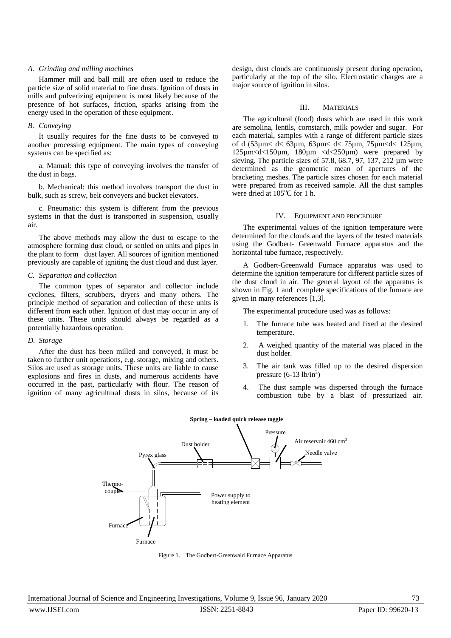## *A. Grinding and milling machines*

Hammer mill and ball mill are often used to reduce the particle size of solid material to fine dusts. Ignition of dusts in mills and pulverizing equipment is most likely because of the presence of hot surfaces, friction, sparks arising from the energy used in the operation of these equipment.

# *B. Conveying*

It usually requires for the fine dusts to be conveyed to another processing equipment. The main types of conveying systems can be specified as:

a. Manual: this type of conveying involves the transfer of the dust in bags.

b. Mechanical: this method involves transport the dust in bulk, such as screw, belt conveyers and bucket elevators.

c. Pneumatic: this system is different from the previous systems in that the dust is transported in suspension, usually air.

The above methods may allow the dust to escape to the atmosphere forming dust cloud, or settled on units and pipes in the plant to form dust layer. All sources of ignition mentioned previously are capable of igniting the dust cloud and dust layer.

## *C. Separation and collection*

The common types of separator and collector include cyclones, filters, scrubbers, dryers and many others. The principle method of separation and collection of these units is different from each other. Ignition of dust may occur in any of these units. These units should always be regarded as a potentially hazardous operation.

## *D. Storage*

After the dust has been milled and conveyed, it must be taken to further unit operations, e.g. storage, mixing and others. Silos are used as storage units. These units are liable to cause explosions and fires in dusts, and numerous accidents have occurred in the past, particularly with flour. The reason of ignition of many agricultural dusts in silos, because of its design, dust clouds are continuously present during operation, particularly at the top of the silo. Electrostatic charges are a major source of ignition in silos.

# III. MATERIALS

The agricultural (food) dusts which are used in this work are semolina, lentils, cornstarch, milk powder and sugar. For each material, samples with a range of different particle sizes of d (53µm< d< 63µm, 63µm< d< 75µm, 75µm<d< 125µm, 125µm<d<150µm, 180µm <d<250µm) were prepared by sieving. The particle sizes of 57.8, 68.7, 97, 137, 212 µm were determined as the geometric mean of apertures of the bracketing meshes. The particle sizes chosen for each material were prepared from as received sample. All the dust samples were dried at  $105^{\circ}$ C for 1 h.

# IV. EQUIPMENT AND PROCEDURE

The experimental values of the ignition temperature were determined for the clouds and the layers of the tested materials using the Godbert- Greenwald Furnace apparatus and the horizontal tube furnace, respectively.

A Godbert-Greenwald Furnace apparatus was used to determine the ignition temperature for different particle sizes of the dust cloud in air. The general layout of the apparatus is shown in Fig. 1 and complete specifications of the furnace are given in many references [1,3].

The experimental procedure used was as follows:

- 1. The furnace tube was heated and fixed at the desired temperature.
- 2. A weighed quantity of the material was placed in the dust holder.
- 3. The air tank was filled up to the desired dispersion pressure  $(6-13 lb/in<sup>2</sup>)$
- 4. The dust sample was dispersed through the furnace combustion tube by a blast of pressurized air.



Figure 1. The Godbert-Greenwald Furnace Apparatus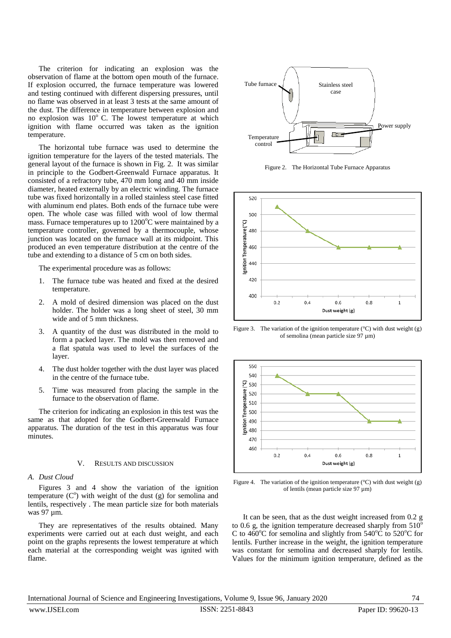The criterion for indicating an explosion was the observation of flame at the bottom open mouth of the furnace. If explosion occurred, the furnace temperature was lowered and testing continued with different dispersing pressures, until no flame was observed in at least 3 tests at the same amount of the dust. The difference in temperature between explosion and no explosion was  $10^{\circ}$  C. The lowest temperature at which ignition with flame occurred was taken as the ignition temperature.

The horizontal tube furnace was used to determine the ignition temperature for the layers of the tested materials. The general layout of the furnace is shown in Fig. 2. It was similar in principle to the Godbert-Greenwald Furnace apparatus. It consisted of a refractory tube, 470 mm long and 40 mm inside diameter, heated externally by an electric winding. The furnace tube was fixed horizontally in a rolled stainless steel case fitted with aluminum end plates. Both ends of the furnace tube were open. The whole case was filled with wool of low thermal mass. Furnace temperatures up to  $1200^{\circ}$ C were maintained by a temperature controller, governed by a thermocouple, whose junction was located on the furnace wall at its midpoint. This produced an even temperature distribution at the centre of the tube and extending to a distance of 5 cm on both sides.

The experimental procedure was as follows:

- 1. The furnace tube was heated and fixed at the desired temperature.
- 2. A mold of desired dimension was placed on the dust holder. The holder was a long sheet of steel, 30 mm wide and of 5 mm thickness.
- 3. A quantity of the dust was distributed in the mold to form a packed layer. The mold was then removed and a flat spatula was used to level the surfaces of the layer.
- 4. The dust holder together with the dust layer was placed in the centre of the furnace tube.
- 5. Time was measured from placing the sample in the furnace to the observation of flame.

The criterion for indicating an explosion in this test was the same as that adopted for the Godbert-Greenwald Furnace apparatus. The duration of the test in this apparatus was four minutes.

## V. RESULTS AND DISCUSSION

# *A. Dust Cloud*

Figures 3 and 4 show the variation of the ignition temperature  $(C<sup>o</sup>)$  with weight of the dust (g) for semolina and lentils, respectively . The mean particle size for both materials was 97 µm.

They are representatives of the results obtained. Many experiments were carried out at each dust weight, and each point on the graphs represents the lowest temperature at which each material at the corresponding weight was ignited with flame.



Figure 2. The Horizontal Tube Furnace Apparatus



Figure 3. The variation of the ignition temperature  $({}^{\circ}C)$  with dust weight  $(g)$ of semolina (mean particle size 97 µm)



Figure 4. The variation of the ignition temperature  $({}^{\circ}C)$  with dust weight (g) of lentils (mean particle size 97 µm)

It can be seen, that as the dust weight increased from 0.2 g to 0.6 g, the ignition temperature decreased sharply from  $510^{\circ}$ C to  $460^{\circ}$ C for semolina and slightly from  $540^{\circ}$ C to  $520^{\circ}$ C for lentils. Further increase in the weight, the ignition temperature was constant for semolina and decreased sharply for lentils. Values for the minimum ignition temperature, defined as the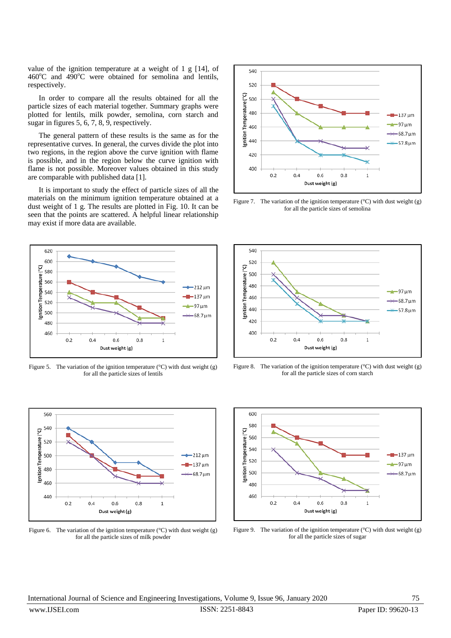value of the ignition temperature at a weight of 1 g [14], of  $460^{\circ}$ C and  $490^{\circ}$ C were obtained for semolina and lentils, respectively.

In order to compare all the results obtained for all the particle sizes of each material together. Summary graphs were plotted for lentils, milk powder, semolina, corn starch and sugar in figures 5, 6, 7, 8, 9, respectively.

The general pattern of these results is the same as for the representative curves. In general, the curves divide the plot into two regions, in the region above the curve ignition with flame is possible, and in the region below the curve ignition with flame is not possible. Moreover values obtained in this study are comparable with published data [1].

It is important to study the effect of particle sizes of all the materials on the minimum ignition temperature obtained at a dust weight of 1 g. The results are plotted in Fig. 10. It can be seen that the points are scattered. A helpful linear relationship may exist if more data are available.



Figure 5. The variation of the ignition temperature ( $\rm{°C}$ ) with dust weight (g) for all the particle sizes of lentils



Figure 6. The variation of the ignition temperature  $({}^{\circ}C)$  with dust weight (g) for all the particle sizes of milk powder



Figure 7. The variation of the ignition temperature  $(°C)$  with dust weight (g) for all the particle sizes of semolina



Figure 8. The variation of the ignition temperature  $(°C)$  with dust weight (g) for all the particle sizes of corn starch



Figure 9. The variation of the ignition temperature  $({}^{\circ}C)$  with dust weight (g) for all the particle sizes of sugar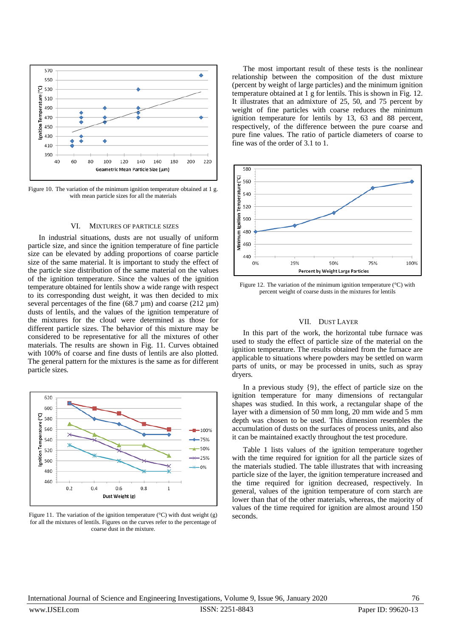

Figure 10. The variation of the minimum ignition temperature obtained at 1 g. with mean particle sizes for all the materials

#### VI. MIXTURES OF PARTICLE SIZES

In industrial situations, dusts are not usually of uniform particle size, and since the ignition temperature of fine particle size can be elevated by adding proportions of coarse particle size of the same material. It is important to study the effect of the particle size distribution of the same material on the values of the ignition temperature. Since the values of the ignition temperature obtained for lentils show a wide range with respect to its corresponding dust weight, it was then decided to mix several percentages of the fine  $(68.7 \text{ µm})$  and coarse  $(212 \text{ µm})$ dusts of lentils, and the values of the ignition temperature of the mixtures for the cloud were determined as those for different particle sizes. The behavior of this mixture may be considered to be representative for all the mixtures of other materials. The results are shown in Fig. 11. Curves obtained with 100% of coarse and fine dusts of lentils are also plotted. The general pattern for the mixtures is the same as for different particle sizes.



Figure 11. The variation of the ignition temperature ( $\degree$ C) with dust weight (g) for all the mixtures of lentils. Figures on the curves refer to the percentage of coarse dust in the mixture.

The most important result of these tests is the nonlinear relationship between the composition of the dust mixture (percent by weight of large particles) and the minimum ignition temperature obtained at 1 g for lentils. This is shown in Fig. 12. It illustrates that an admixture of 25, 50, and 75 percent by weight of fine particles with coarse reduces the minimum ignition temperature for lentils by 13, 63 and 88 percent, respectively, of the difference between the pure coarse and pure fine values. The ratio of particle diameters of coarse to fine was of the order of 3.1 to 1.



Figure 12. The variation of the minimum ignition temperature (°C) with percent weight of coarse dusts in the mixtures for lentils

#### VII. DUST LAYER

In this part of the work, the horizontal tube furnace was used to study the effect of particle size of the material on the ignition temperature. The results obtained from the furnace are applicable to situations where powders may be settled on warm parts of units, or may be processed in units, such as spray dryers.

In a previous study {9}, the effect of particle size on the ignition temperature for many dimensions of rectangular shapes was studied. In this work, a rectangular shape of the layer with a dimension of 50 mm long, 20 mm wide and 5 mm depth was chosen to be used. This dimension resembles the accumulation of dusts on the surfaces of process units, and also it can be maintained exactly throughout the test procedure.

Table 1 lists values of the ignition temperature together with the time required for ignition for all the particle sizes of the materials studied. The table illustrates that with increasing particle size of the layer, the ignition temperature increased and the time required for ignition decreased, respectively. In general, values of the ignition temperature of corn starch are lower than that of the other materials, whereas, the majority of values of the time required for ignition are almost around 150 seconds.